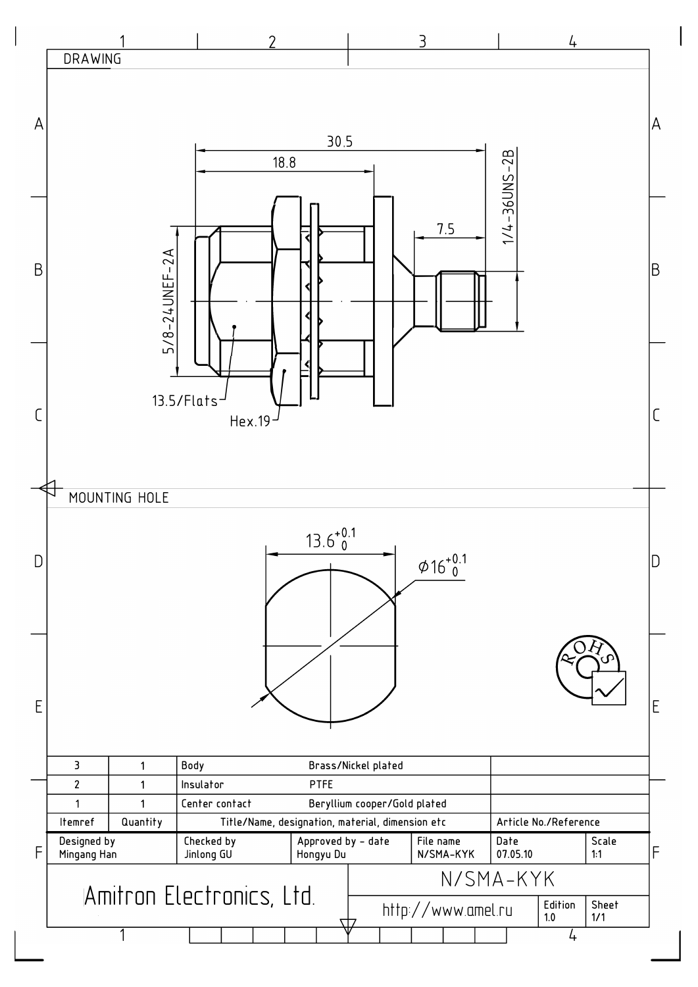